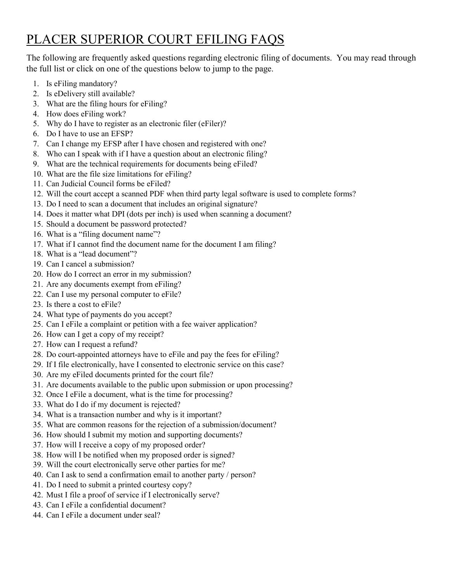# PLACER SUPERIOR COURT EFILING FAQS

The following are frequently asked questions regarding electronic filing of documents. You may read through the full list or click on one of the questions below to jump to the page.

- 1. Is eFiling [mandatory?](#page-1-0)
- 2. [Is eDelivery still available?](#page-1-1)
- 3. [What are the filing hours for eFiling?](#page-1-2)
- 4. [How does eFiling](#page-1-3) work?
- 5. [Why do I have to register as an electronic filer \(eFiler\)?](#page-1-4)
- 6. [Do I have to use an EFSP?](#page-1-5)
- 7. [Can I change my EFSP after I have chosen and registered with one?](#page-1-6)
- 8. [Who can I speak with if I have a question about an electronic filing?](#page-2-0)
- 9. [What are the technical requirements for documents being eFiled?](#page-2-1)
- 10. [What are the file size limitations for eFiling?](#page-2-2)
- 11. [Can Judicial Council forms be eFiled?](#page-2-3)
- 12. [Will the court accept a scanned PDF when third party legal software is used to complete forms?](#page-2-4)
- 13. [Do I need to scan a document that includes an original signature?](#page-2-5)
- 14. [Does it matter what DPI \(dots per inch\) is used when scanning a document?](#page-2-6)
- 15. [Should a document be password protected?](#page-2-7)
- 16. [What is a "filing document name"?](#page-2-8)
- 17. [What if I cannot find the document name for the document I am filing?](#page-3-0)
- 18. [What is a "lead document"?](#page-3-1)
- 19. [Can I cancel a submission?](#page-3-2)
- 20. [How do I correct an error in my submission?](#page-3-3)
- 21. [Are any documents exempt from eFiling?](#page-3-4)
- 22. [Can I use my personal computer to eFile?](#page-3-5)
- 23. [Is there a cost to eFile?](#page-3-6)
- 24. [What type of payments do you accept?](#page-3-7)
- 25. Can I eFile [a complaint or petition with a fee waiver application?](#page-4-0)
- 26. [How can I get a copy of my receipt?](#page-4-1)
- 27. [How can I request a refund?](#page-4-2)
- 28. [Do court-appointed attorneys have to eFile](#page-4-3) and pay the fees for eFiling?
- 29. [If I file electronically, have I consented to electronic service on this case?](#page-4-4)
- 30. Are my eFiled [documents printed for the court file?](#page-4-5)
- 31. [Are documents available to the public upon submission or upon processing?](#page-4-6)
- 32. Once I eFile [a document, what is the time for processing?](#page-4-7)
- 33. [What do I do if my document is rejected?](#page-5-0)
- 34. [What is a transaction number and why is it important?](#page-5-1)
- 35. [What are common reasons for](#page-5-2) the rejection of a submission/document?
- 36. [How should I submit my motion and supporting documents?](#page-5-3)
- 37. [How will I receive a copy of my proposed order?](#page-6-0)
- 38. [How will I be notified when my proposed order is signed?](#page-6-1)
- 39. Will the court [electronically serve other parties for me?](#page-6-2)
- 40. [Can I ask to send a confirmation email to another party / person?](#page-6-3)
- 41. [Do I need to submit a printed courtesy copy?](#page-6-4)
- 42. [Must I file a proof of service if I electronically serve?](#page-6-5)
- 43. Can I eFile [a confidential document?](#page-6-6)
- 44. Can I eFile [a document under seal?](#page-6-7)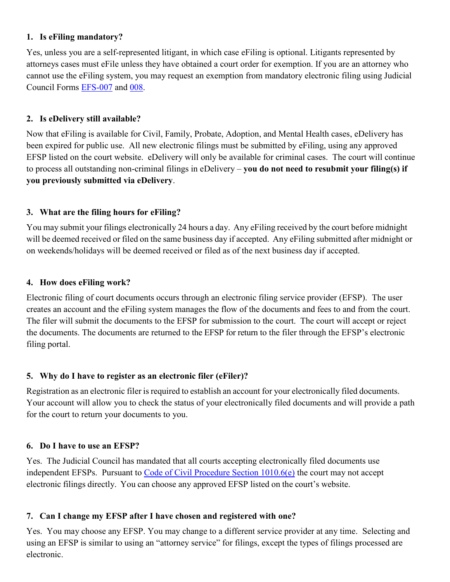# <span id="page-1-0"></span>**1. Is eFiling mandatory?**

Yes, unless you are a self-represented litigant, in which case eFiling is optional. Litigants represented by attorneys cases must eFile unless they have obtained a court order for exemption. If you are an attorney who cannot use the eFiling system, you may request an exemption from mandatory electronic filing using Judicial Council Forms [EFS-007](https://www.courts.ca.gov/documents/efs007.pdf) and [008.](https://www.courts.ca.gov/documents/efs008.pdf)

# <span id="page-1-1"></span>**2. Is eDelivery still available?**

Now that eFiling is available for Civil, Family, Probate, Adoption, and Mental Health cases, eDelivery has been expired for public use. All new electronic filings must be submitted by eFiling, using any approved EFSP listed on the court website. eDelivery will only be available for criminal cases. The court will continue to process all outstanding non-criminal filings in eDelivery – **you do not need to resubmit your filing(s) if you previously submitted via eDelivery**.

# <span id="page-1-2"></span>**3. What are the filing hours for eFiling?**

You may submit your filings electronically 24 hours a day. Any eFiling received by the court before midnight will be deemed received or filed on the same business day if accepted. Any eFiling submitted after midnight or on weekends/holidays will be deemed received or filed as of the next business day if accepted.

#### <span id="page-1-3"></span>**4. How does eFiling work?**

Electronic filing of court documents occurs through an electronic filing service provider (EFSP). The user creates an account and the eFiling system manages the flow of the documents and fees to and from the court. The filer will submit the documents to the EFSP for submission to the court. The court will accept or reject the documents. The documents are returned to the EFSP for return to the filer through the EFSP's electronic filing portal.

# <span id="page-1-4"></span>**5. Why do I have to register as an electronic filer (eFiler)?**

Registration as an electronic filer is required to establish an account for your electronically filed documents. Your account will allow you to check the status of your electronically filed documents and will provide a path for the court to return your documents to you.

#### <span id="page-1-5"></span>**6. Do I have to use an EFSP?**

Yes. The Judicial Council has mandated that all courts accepting electronically filed documents use independent EFSPs. Pursuant to [Code of Civil Procedure Section 1010.6\(e\)](http://leginfo.legislature.ca.gov/faces/codes_displaySection.xhtml?sectionNum=1010.6.&lawCode=CCP) the court may not accept electronic filings directly. You can choose any approved EFSP listed on the court's website.

#### <span id="page-1-6"></span>**7. Can I change my EFSP after I have chosen and registered with one?**

Yes. You may choose any EFSP. You may change to a different service provider at any time. Selecting and using an EFSP is similar to using an "attorney service" for filings, except the types of filings processed are electronic.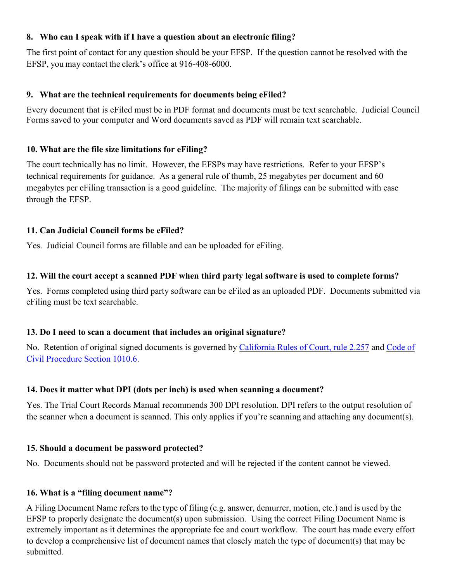#### <span id="page-2-0"></span>**8. Who can I speak with if I have a question about an electronic filing?**

The first point of contact for any question should be your EFSP. If the question cannot be resolved with the EFSP, you may contact the clerk's office at 916-408-6000.

# <span id="page-2-1"></span>**9. What are the technical requirements for documents being eFiled?**

Every document that is eFiled must be in PDF format and documents must be text searchable. Judicial Council Forms saved to your computer and Word documents saved as PDF will remain text searchable.

# <span id="page-2-2"></span>**10. What are the file size limitations for eFiling?**

The court technically has no limit. However, the EFSPs may have restrictions. Refer to your EFSP's technical requirements for guidance. As a general rule of thumb, 25 megabytes per document and 60 megabytes per eFiling transaction is a good guideline. The majority of filings can be submitted with ease through the EFSP.

# <span id="page-2-3"></span>**11. Can Judicial Council forms be eFiled?**

Yes. Judicial Council forms are fillable and can be uploaded for eFiling.

# <span id="page-2-4"></span>**12. Will the court accept a scanned PDF when third party legal software is used to complete forms?**

Yes. Forms completed using third party software can be eFiled as an uploaded PDF. Documents submitted via eFiling must be text searchable.

# <span id="page-2-5"></span>**13. Do I need to scan a document that includes an original signature?**

No. Retention of original signed documents is governed by [California Rules of Court, rule 2.257](https://www.courts.ca.gov/cms/rules/index.cfm?title=two&linkid=rule2_257) and [Code of](http://leginfo.legislature.ca.gov/faces/codes_displaySection.xhtml?sectionNum=1010.6.&lawCode=CCP)  [Civil Procedure Section 1010.6.](http://leginfo.legislature.ca.gov/faces/codes_displaySection.xhtml?sectionNum=1010.6.&lawCode=CCP)

# <span id="page-2-6"></span>**14. Does it matter what DPI (dots per inch) is used when scanning a document?**

Yes. The Trial Court Records Manual recommends 300 DPI resolution. DPI refers to the output resolution of the scanner when a document is scanned. This only applies if you're scanning and attaching any document(s).

# <span id="page-2-7"></span>**15. Should a document be password protected?**

No. Documents should not be password protected and will be rejected if the content cannot be viewed.

# <span id="page-2-8"></span>**16. What is a "filing document name"?**

A Filing Document Name refers to the type of filing (e.g. answer, demurrer, motion, etc.) and is used by the EFSP to properly designate the document(s) upon submission. Using the correct Filing Document Name is extremely important as it determines the appropriate fee and court workflow. The court has made every effort to develop a comprehensive list of document names that closely match the type of document(s) that may be submitted.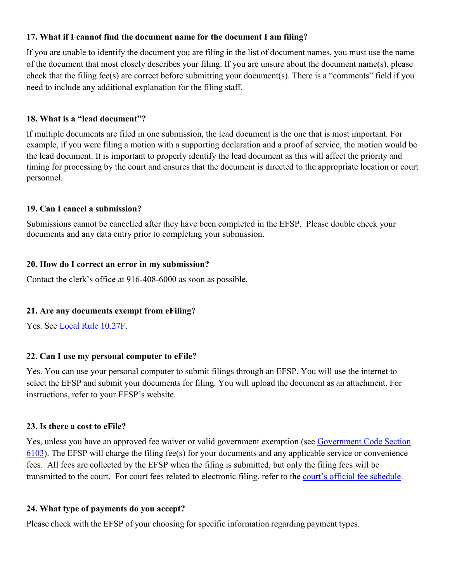#### <span id="page-3-0"></span>**17. What if I cannot find the document name for the document I am filing?**

If you are unable to identify the document you are filing in the list of document names, you must use the name of the document that most closely describes your filing. If you are unsure about the document name(s), please check that the filing fee(s) are correct before submitting your document(s). There is a "comments" field if you need to include any additional explanation for the filing staff.

# <span id="page-3-1"></span>**18. What is a "lead document"?**

If multiple documents are filed in one submission, the lead document is the one that is most important. For example, if you were filing a motion with a supporting declaration and a proof of service, the motion would be the lead document. It is important to properly identify the lead document as this will affect the priority and timing for processing by the court and ensures that the document is directed to the appropriate location or court personnel.

# <span id="page-3-2"></span>**19. Can I cancel a submission?**

Submissions cannot be cancelled after they have been completed in the EFSP. Please double check your documents and any data entry prior to completing your submission.

# <span id="page-3-3"></span>**20. How do I correct an error in my submission?**

Contact the clerk's office at 916-408-6000 as soon as possible.

# <span id="page-3-4"></span>**21. Are any documents exempt from eFiling?**

Yes. See [Local Rule 10.27F.](http://www.placer.courts.ca.gov/general-local-rules.shtml)

# <span id="page-3-5"></span>**22. Can I use my personal computer to eFile?**

Yes. You can use your personal computer to submit filings through an EFSP. You will use the internet to select the EFSP and submit your documents for filing. You will upload the document as an attachment. For instructions, refer to your EFSP's website.

#### <span id="page-3-6"></span>**23. Is there a cost to eFile?**

Yes, unless you have an approved fee waiver or valid government exemption (see [Government Code Section](https://leginfo.legislature.ca.gov/faces/codes_displaySection.xhtml?sectionNum=6103.&lawCode=GOV)  [6103\)](https://leginfo.legislature.ca.gov/faces/codes_displaySection.xhtml?sectionNum=6103.&lawCode=GOV). The EFSP will charge the filing fee(s) for your documents and any applicable service or convenience fees. All fees are collected by the EFSP when the filing is submitted, but only the filing fees will be transmitted to the court. For court fees related to electronic filing, refer to the [court's official fee schedule.](http://www.placer.courts.ca.gov/forms-filing-fees.shtml)

#### <span id="page-3-7"></span>**24. What type of payments do you accept?**

Please check with the EFSP of your choosing for specific information regarding payment types.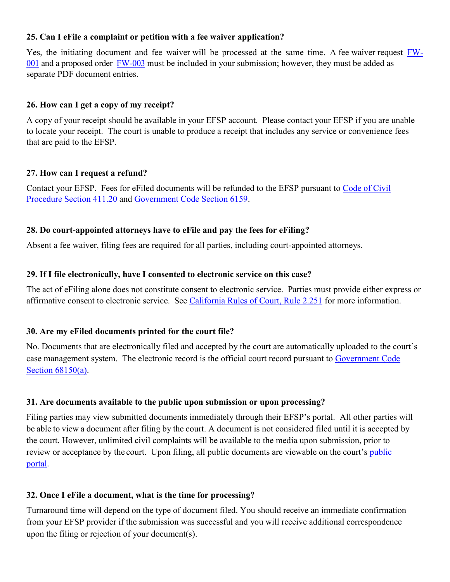#### <span id="page-4-0"></span>**25. Can I eFile a complaint or petition with a fee waiver application?**

Yes, the initiating document and fee waiver will be processed at the same time. A fee waiver request **FW**-[001](https://www.courts.ca.gov/documents/fw001.pdf) and a proposed order [FW-003](https://www.courts.ca.gov/documents/fw003.pdf) must be included in your submission; however, they must be added as separate PDF document entries.

#### <span id="page-4-1"></span>**26. How can I get a copy of my receipt?**

A copy of your receipt should be available in your EFSP account. Please contact your EFSP if you are unable to locate your receipt. The court is unable to produce a receipt that includes any service or convenience fees that are paid to the EFSP.

#### <span id="page-4-2"></span>**27. How can I request a refund?**

Contact your EFSP. Fees for eFiled documents will be refunded to the EFSP pursuant to [Code of Civil](http://leginfo.legislature.ca.gov/faces/codes_displaySection.xhtml?sectionNum=411.20.&lawCode=CCP)  [Procedure Section 411.20](http://leginfo.legislature.ca.gov/faces/codes_displaySection.xhtml?sectionNum=411.20.&lawCode=CCP) and [Government Code Section 6159.](http://leginfo.legislature.ca.gov/faces/codes_displaySection.xhtml?sectionNum=6159.&lawCode=GOV)

#### <span id="page-4-3"></span>**28. Do court-appointed attorneys have to eFile and pay the fees for eFiling?**

Absent a fee waiver, filing fees are required for all parties, including court-appointed attorneys.

#### <span id="page-4-4"></span>**29. If I file electronically, have I consented to electronic service on this case?**

The act of eFiling alone does not constitute consent to electronic service. Parties must provide either express or affirmative consent to electronic service. See [California Rules of Court, Rule 2.251](https://www.courts.ca.gov/cms/rules/index.cfm?title=two&linkid=rule2_251) for more information.

#### <span id="page-4-5"></span>**30. Are my eFiled documents printed for the court file?**

No. Documents that are electronically filed and accepted by the court are automatically uploaded to the court's case management system. The electronic record is the official court record pursuant to [Government Code](http://leginfo.legislature.ca.gov/faces/codes_displaySection.xhtml?sectionNum=68150.&lawCode=GOV)  Section  $68150(a)$ .

#### <span id="page-4-6"></span>**31. Are documents available to the public upon submission or upon processing?**

Filing parties may view submitted documents immediately through their EFSP's portal. All other parties will be able to view a document after filing by the court. A document is not considered filed until it is accepted by the court. However, unlimited civil complaints will be available to the media upon submission, prior to review or acceptance by the court. Upon filing, all [public](http://www.placer.courts.ca.gov/online-case-access.shtml) documents are viewable on the court's public [portal.](http://www.placer.courts.ca.gov/online-case-access.shtml)

#### <span id="page-4-7"></span>**32. Once I eFile a document, what is the time for processing?**

Turnaround time will depend on the type of document filed. You should receive an immediate confirmation from your EFSP provider if the submission was successful and you will receive additional correspondence upon the filing or rejection of your document(s).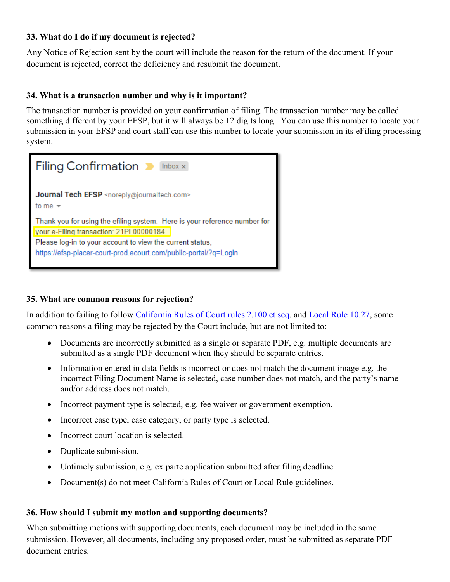#### <span id="page-5-0"></span>**33. What do I do if my document is rejected?**

Any Notice of Rejection sent by the court will include the reason for the return of the document. If your document is rejected, correct the deficiency and resubmit the document.

# <span id="page-5-1"></span>**34. What is a transaction number and why is it important?**

The transaction number is provided on your confirmation of filing. The transaction number may be called something different by your EFSP, but it will always be 12 digits long. You can use this number to locate your submission in your EFSP and court staff can use this number to locate your submission in its eFiling processing system.



#### <span id="page-5-2"></span>**35. What are common reasons for rejection?**

In addition to failing to follow [California Rules of Court rules 2.100 et seq.](https://www.courts.ca.gov/cms/rules/index.cfm?title=two&linkid=rule2_257) and [Local Rule 10.27,](http://www.placer.courts.ca.gov/general-local-rules.shtml) some common reasons a filing may be rejected by the Court include, but are not limited to:

- Documents are incorrectly submitted as a single or separate PDF, e.g. multiple documents are submitted as a single PDF document when they should be separate entries.
- Information entered in data fields is incorrect or does not match the document image e.g. the incorrect Filing Document Name is selected, case number does not match, and the party's name and/or address does not match.
- Incorrect payment type is selected, e.g. fee waiver or government exemption.
- Incorrect case type, case category, or party type is selected.
- Incorrect court location is selected.
- Duplicate submission.
- Untimely submission, e.g. ex parte application submitted after filing deadline.
- Document(s) do not meet California Rules of Court or Local Rule guidelines.

#### <span id="page-5-3"></span>**36. How should I submit my motion and supporting documents?**

When submitting motions with supporting documents, each document may be included in the same submission. However, all documents, including any proposed order, must be submitted as separate PDF document entries.